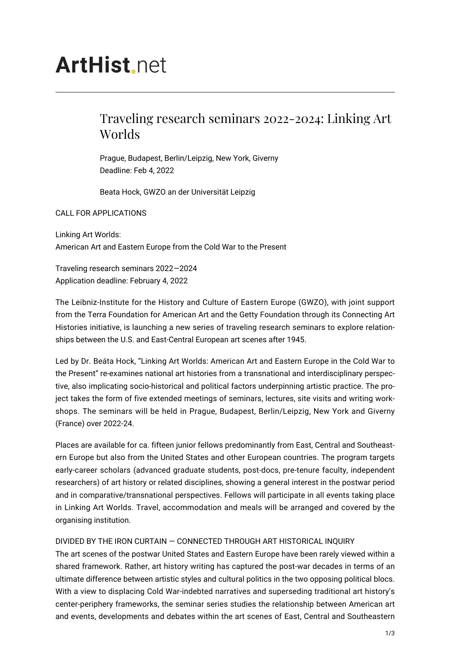# **ArtHist** net

# Traveling research seminars 2022-2024: Linking Art Worlds

Prague, Budapest, Berlin/Leipzig, New York, Giverny Deadline: Feb 4, 2022

Beata Hock, GWZO an der Universität Leipzig

## CALL FOR APPLICATIONS

Linking Art Worlds: American Art and Eastern Europe from the Cold War to the Present

Traveling research seminars 2022—2024 Application deadline: February 4, 2022

The Leibniz-Institute for the History and Culture of Eastern Europe (GWZO), with joint support from the Terra Foundation for American Art and the Getty Foundation through its Connecting Art Histories initiative, is launching a new series of traveling research seminars to explore relationships between the U.S. and East-Central European art scenes after 1945.

Led by Dr. Beáta Hock, "Linking Art Worlds: American Art and Eastern Europe in the Cold War to the Present" re-examines national art histories from a transnational and interdisciplinary perspective, also implicating socio-historical and political factors underpinning artistic practice. The project takes the form of five extended meetings of seminars, lectures, site visits and writing workshops. The seminars will be held in Prague, Budapest, Berlin/Leipzig, New York and Giverny (France) over 2022-24.

Places are available for ca. fifteen junior fellows predominantly from East, Central and Southeastern Europe but also from the United States and other European countries. The program targets early-career scholars (advanced graduate students, post-docs, pre-tenure faculty, independent researchers) of art history or related disciplines, showing a general interest in the postwar period and in comparative/transnational perspectives. Fellows will participate in all events taking place in Linking Art Worlds. Travel, accommodation and meals will be arranged and covered by the organising institution.

# DIVIDED BY THE IRON CURTAIN — CONNECTED THROUGH ART HISTORICAL INQUIRY

The art scenes of the postwar United States and Eastern Europe have been rarely viewed within a shared framework. Rather, art history writing has captured the post-war decades in terms of an ultimate difference between artistic styles and cultural politics in the two opposing political blocs. With a view to displacing Cold War-indebted narratives and superseding traditional art history's center-periphery frameworks, the seminar series studies the relationship between American art and events, developments and debates within the art scenes of East, Central and Southeastern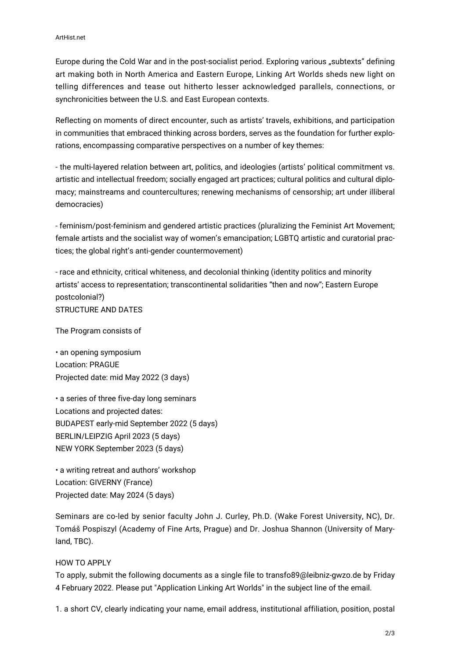Europe during the Cold War and in the post-socialist period. Exploring various "subtexts" defining art making both in North America and Eastern Europe, Linking Art Worlds sheds new light on telling differences and tease out hitherto lesser acknowledged parallels, connections, or synchronicities between the U.S. and East European contexts.

Reflecting on moments of direct encounter, such as artists' travels, exhibitions, and participation in communities that embraced thinking across borders, serves as the foundation for further explorations, encompassing comparative perspectives on a number of key themes:

- the multi-layered relation between art, politics, and ideologies (artists' political commitment vs. artistic and intellectual freedom; socially engaged art practices; cultural politics and cultural diplomacy; mainstreams and countercultures; renewing mechanisms of censorship; art under illiberal democracies)

- feminism/post-feminism and gendered artistic practices (pluralizing the Feminist Art Movement; female artists and the socialist way of women's emancipation; LGBTQ artistic and curatorial practices; the global right's anti-gender countermovement)

- race and ethnicity, critical whiteness, and decolonial thinking (identity politics and minority artists' access to representation; transcontinental solidarities "then and now"; Eastern Europe postcolonial?) STRUCTURE AND DATES

The Program consists of

• an opening symposium Location: PRAGUE Projected date: mid May 2022 (3 days)

• a series of three five-day long seminars Locations and projected dates: BUDAPEST early-mid September 2022 (5 days) BERLIN/LEIPZIG April 2023 (5 days) NEW YORK September 2023 (5 days)

• a writing retreat and authors' workshop Location: GIVERNY (France) Projected date: May 2024 (5 days)

Seminars are co-led by senior faculty John J. Curley, Ph.D. (Wake Forest University, NC), Dr. Tomáš Pospiszyl (Academy of Fine Arts, Prague) and Dr. Joshua Shannon (University of Maryland, TBC).

### HOW TO APPLY

To apply, submit the following documents as a single file to transfo89@leibniz-gwzo.de by Friday 4 February 2022. Please put "Application Linking Art Worlds" in the subject line of the email.

1. a short CV, clearly indicating your name, email address, institutional affiliation, position, postal